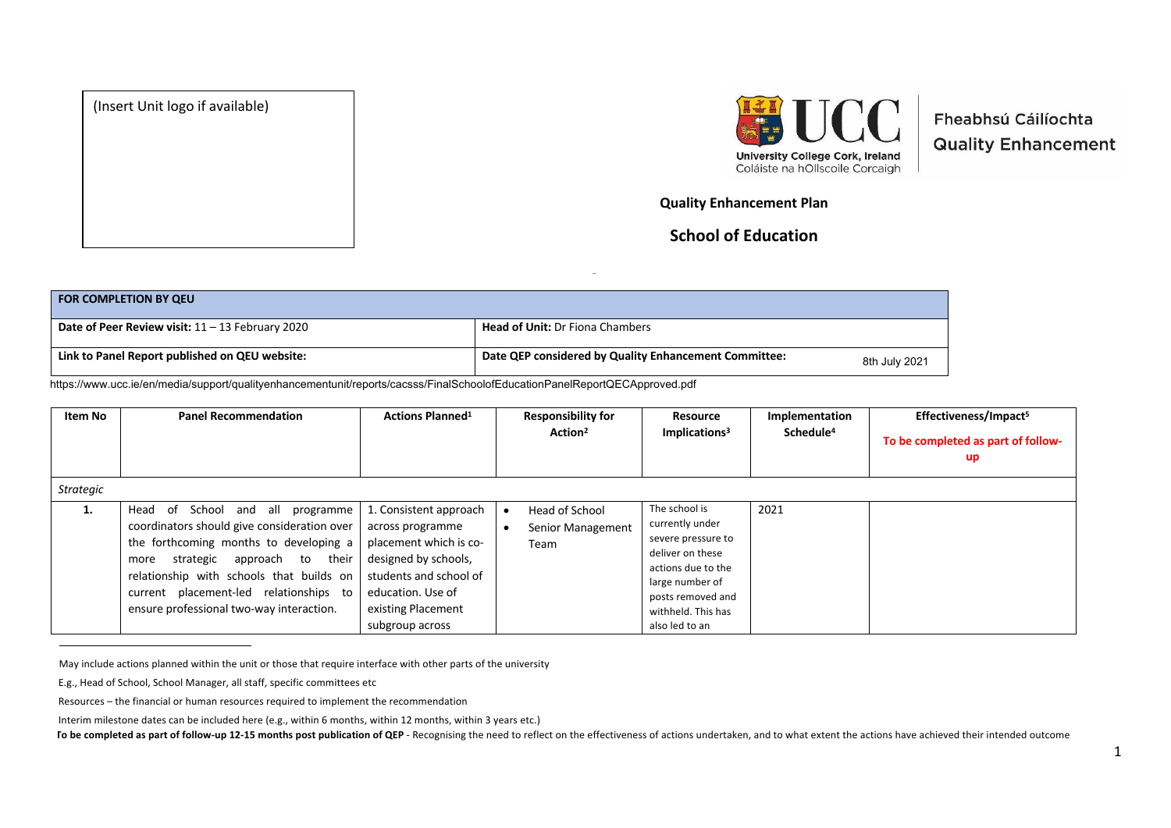



Fheabhsú Cáilíochta **Quality Enhancement** 

## **Quality Enhancement Plan**

## **School of Education**

| <b>FOR COMPLETION BY QEU</b>                       |                                                                        |
|----------------------------------------------------|------------------------------------------------------------------------|
| Date of Peer Review visit: $11 - 13$ February 2020 | <b>Head of Unit:</b> Dr Fiona Chambers                                 |
| Link to Panel Report published on QEU website:     | Date QEP considered by Quality Enhancement Committee:<br>8th July 2021 |

https://www.ucc.ie/en/media/support/qualityenhancementunit/reports/cacsss/FinalSchoolofEducationPanelReportQECApproved.pdf

| Item No          | <b>Panel Recommendation</b>                                                                                                                                                                                                                                                                        | <b>Actions Planned<sup>1</sup></b>                                                                                                                                                   | <b>Responsibility for</b><br>Action <sup>2</sup> | Resource<br>Implications <sup>3</sup>                                                                                                                                            | Implementation<br>Schedule <sup>4</sup> | Effectiveness/Impact <sup>5</sup><br>To be completed as part of follow-<br>up |
|------------------|----------------------------------------------------------------------------------------------------------------------------------------------------------------------------------------------------------------------------------------------------------------------------------------------------|--------------------------------------------------------------------------------------------------------------------------------------------------------------------------------------|--------------------------------------------------|----------------------------------------------------------------------------------------------------------------------------------------------------------------------------------|-----------------------------------------|-------------------------------------------------------------------------------|
| <b>Strategic</b> |                                                                                                                                                                                                                                                                                                    |                                                                                                                                                                                      |                                                  |                                                                                                                                                                                  |                                         |                                                                               |
| 1.               | Head of School and all programme<br>coordinators should give consideration over<br>the forthcoming months to developing a<br>strategic approach to their<br>more<br>relationship with schools that builds on<br>current placement-led relationships to<br>ensure professional two-way interaction. | 1. Consistent approach<br>across programme<br>placement which is co-<br>designed by schools,<br>students and school of<br>education. Use of<br>existing Placement<br>subgroup across | Head of School<br>Senior Management<br>Team      | The school is<br>currently under<br>severe pressure to<br>deliver on these<br>actions due to the<br>large number of<br>posts removed and<br>withheld. This has<br>also led to an | 2021                                    |                                                                               |

**(Insert Date)**

<sup>1</sup> May include actions planned within the unit or those that require interface with other parts of the university

<sup>2</sup> E.g., Head of School, School Manager, all staff, specific committees etc

<sup>3</sup> Resources – the financial or human resources required to implement the recommendation

<sup>4</sup> Interim milestone dates can be included here (e.g., within 6 months, within 12 months, within 3 years etc.)

To be completed as part of follow-up 12-15 months post publication of QEP - Recognising the need to reflect on the effectiveness of actions undertaken, and to what extent the actions have achieved their intended outcome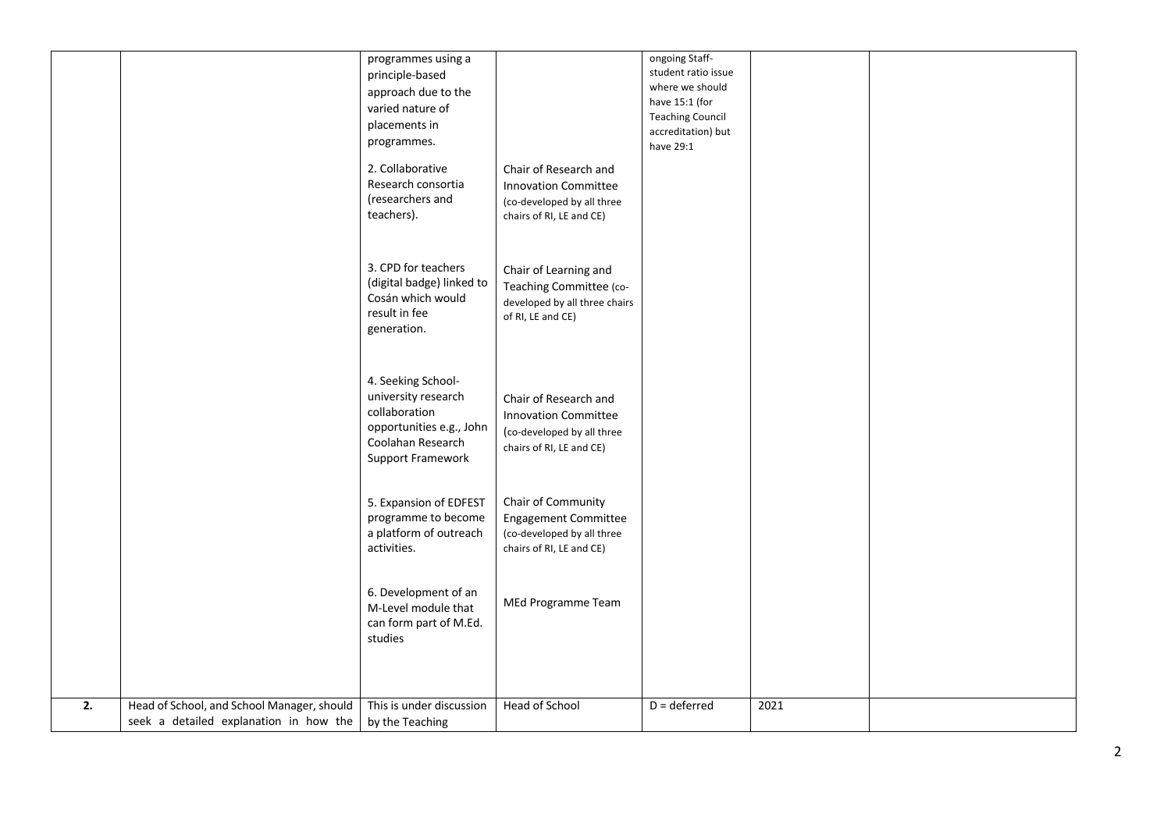|    |                                                                                      | programmes using a<br>principle-based<br>approach due to the<br>varied nature of<br>placements in<br>programmes.<br>2. Collaborative | Chair of Research and                                                                                          | ongoing Staff-<br>student ratio issue<br>where we should<br>have 15:1 (for<br><b>Teaching Council</b><br>accreditation) but<br>have 29:1 |      |  |
|----|--------------------------------------------------------------------------------------|--------------------------------------------------------------------------------------------------------------------------------------|----------------------------------------------------------------------------------------------------------------|------------------------------------------------------------------------------------------------------------------------------------------|------|--|
|    |                                                                                      | Research consortia<br>(researchers and<br>teachers).                                                                                 | <b>Innovation Committee</b><br>(co-developed by all three<br>chairs of RI, LE and CE)                          |                                                                                                                                          |      |  |
|    |                                                                                      | 3. CPD for teachers<br>(digital badge) linked to<br>Cosán which would<br>result in fee<br>generation.                                | Chair of Learning and<br>Teaching Committee (co-<br>developed by all three chairs<br>of RI, LE and CE)         |                                                                                                                                          |      |  |
|    |                                                                                      | 4. Seeking School-<br>university research<br>collaboration<br>opportunities e.g., John<br>Coolahan Research<br>Support Framework     | Chair of Research and<br><b>Innovation Committee</b><br>(co-developed by all three<br>chairs of RI, LE and CE) |                                                                                                                                          |      |  |
|    |                                                                                      | 5. Expansion of EDFEST<br>programme to become<br>a platform of outreach<br>activities.                                               | Chair of Community<br><b>Engagement Committee</b><br>(co-developed by all three<br>chairs of RI, LE and CE)    |                                                                                                                                          |      |  |
|    |                                                                                      | 6. Development of an<br>M-Level module that<br>can form part of M.Ed.<br>studies                                                     | MEd Programme Team                                                                                             |                                                                                                                                          |      |  |
| 2. | Head of School, and School Manager, should<br>seek a detailed explanation in how the | This is under discussion<br>by the Teaching                                                                                          | Head of School                                                                                                 | $D =$ deferred                                                                                                                           | 2021 |  |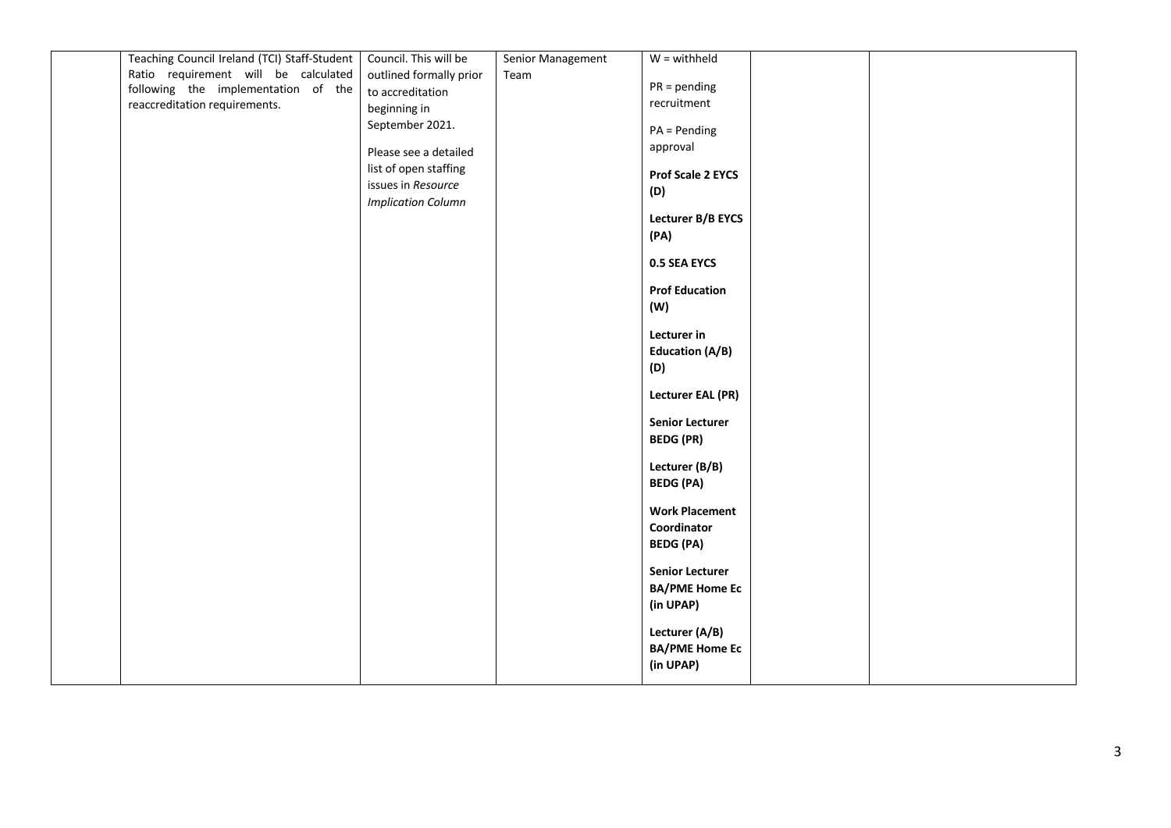| Teaching Council Ireland (TCI) Staff-Student | Council. This will be     | Senior Management | $W =$ withheld           |  |
|----------------------------------------------|---------------------------|-------------------|--------------------------|--|
| Ratio requirement will be calculated         | outlined formally prior   | Team              |                          |  |
| following the implementation of the          | to accreditation          |                   | $PR = pending$           |  |
| reaccreditation requirements.                | beginning in              |                   | recruitment              |  |
|                                              | September 2021.           |                   |                          |  |
|                                              |                           |                   | $PA = Pending$           |  |
|                                              | Please see a detailed     |                   | approval                 |  |
|                                              | list of open staffing     |                   | <b>Prof Scale 2 EYCS</b> |  |
|                                              | issues in Resource        |                   | (D)                      |  |
|                                              | <b>Implication Column</b> |                   |                          |  |
|                                              |                           |                   | Lecturer B/B EYCS        |  |
|                                              |                           |                   | (PA)                     |  |
|                                              |                           |                   |                          |  |
|                                              |                           |                   | 0.5 SEA EYCS             |  |
|                                              |                           |                   | <b>Prof Education</b>    |  |
|                                              |                           |                   | (W)                      |  |
|                                              |                           |                   |                          |  |
|                                              |                           |                   | Lecturer in              |  |
|                                              |                           |                   | <b>Education (A/B)</b>   |  |
|                                              |                           |                   | (D)                      |  |
|                                              |                           |                   |                          |  |
|                                              |                           |                   | <b>Lecturer EAL (PR)</b> |  |
|                                              |                           |                   | <b>Senior Lecturer</b>   |  |
|                                              |                           |                   |                          |  |
|                                              |                           |                   | <b>BEDG (PR)</b>         |  |
|                                              |                           |                   | Lecturer (B/B)           |  |
|                                              |                           |                   | <b>BEDG (PA)</b>         |  |
|                                              |                           |                   |                          |  |
|                                              |                           |                   | <b>Work Placement</b>    |  |
|                                              |                           |                   | Coordinator              |  |
|                                              |                           |                   | <b>BEDG (PA)</b>         |  |
|                                              |                           |                   |                          |  |
|                                              |                           |                   | <b>Senior Lecturer</b>   |  |
|                                              |                           |                   | <b>BA/PME Home Ec</b>    |  |
|                                              |                           |                   | (in UPAP)                |  |
|                                              |                           |                   | Lecturer (A/B)           |  |
|                                              |                           |                   | <b>BA/PME Home Ec</b>    |  |
|                                              |                           |                   | (in UPAP)                |  |
|                                              |                           |                   |                          |  |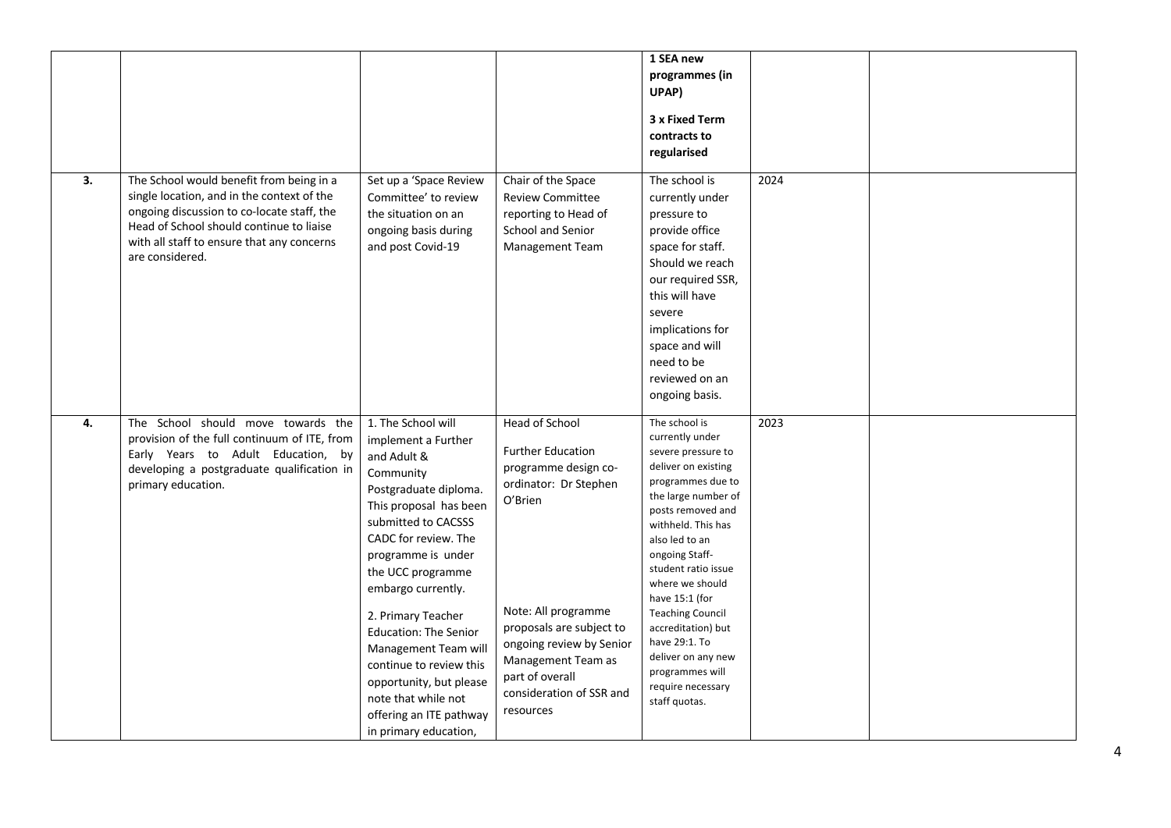|    |                                                                                                                                                                                                                                                   |                                                                                                                                                                                                                                                                                                                                                                                                                                                         |                                                                                                                                                                                                                                                                                | 1 SEA new<br>programmes (in<br>UPAP)<br>3 x Fixed Term<br>contracts to<br>regularised                                                                                                                                                                                                                                                                                                                                 |      |  |
|----|---------------------------------------------------------------------------------------------------------------------------------------------------------------------------------------------------------------------------------------------------|---------------------------------------------------------------------------------------------------------------------------------------------------------------------------------------------------------------------------------------------------------------------------------------------------------------------------------------------------------------------------------------------------------------------------------------------------------|--------------------------------------------------------------------------------------------------------------------------------------------------------------------------------------------------------------------------------------------------------------------------------|-----------------------------------------------------------------------------------------------------------------------------------------------------------------------------------------------------------------------------------------------------------------------------------------------------------------------------------------------------------------------------------------------------------------------|------|--|
| 3. | The School would benefit from being in a<br>single location, and in the context of the<br>ongoing discussion to co-locate staff, the<br>Head of School should continue to liaise<br>with all staff to ensure that any concerns<br>are considered. | Set up a 'Space Review<br>Committee' to review<br>the situation on an<br>ongoing basis during<br>and post Covid-19                                                                                                                                                                                                                                                                                                                                      | Chair of the Space<br><b>Review Committee</b><br>reporting to Head of<br>School and Senior<br>Management Team                                                                                                                                                                  | The school is<br>currently under<br>pressure to<br>provide office<br>space for staff.<br>Should we reach<br>our required SSR,<br>this will have<br>severe<br>implications for<br>space and will<br>need to be<br>reviewed on an<br>ongoing basis.                                                                                                                                                                     | 2024 |  |
| 4. | The School should move towards the<br>provision of the full continuum of ITE, from<br>Early Years to Adult Education, by<br>developing a postgraduate qualification in<br>primary education.                                                      | 1. The School will<br>implement a Further<br>and Adult &<br>Community<br>Postgraduate diploma.<br>This proposal has been<br>submitted to CACSSS<br>CADC for review. The<br>programme is under<br>the UCC programme<br>embargo currently.<br>2. Primary Teacher<br><b>Education: The Senior</b><br>Management Team will<br>continue to review this<br>opportunity, but please<br>note that while not<br>offering an ITE pathway<br>in primary education, | <b>Head of School</b><br><b>Further Education</b><br>programme design co-<br>ordinator: Dr Stephen<br>O'Brien<br>Note: All programme<br>proposals are subject to<br>ongoing review by Senior<br>Management Team as<br>part of overall<br>consideration of SSR and<br>resources | The school is<br>currently under<br>severe pressure to<br>deliver on existing<br>programmes due to<br>the large number of<br>posts removed and<br>withheld. This has<br>also led to an<br>ongoing Staff-<br>student ratio issue<br>where we should<br>have 15:1 (for<br><b>Teaching Council</b><br>accreditation) but<br>have 29:1. To<br>deliver on any new<br>programmes will<br>require necessary<br>staff quotas. | 2023 |  |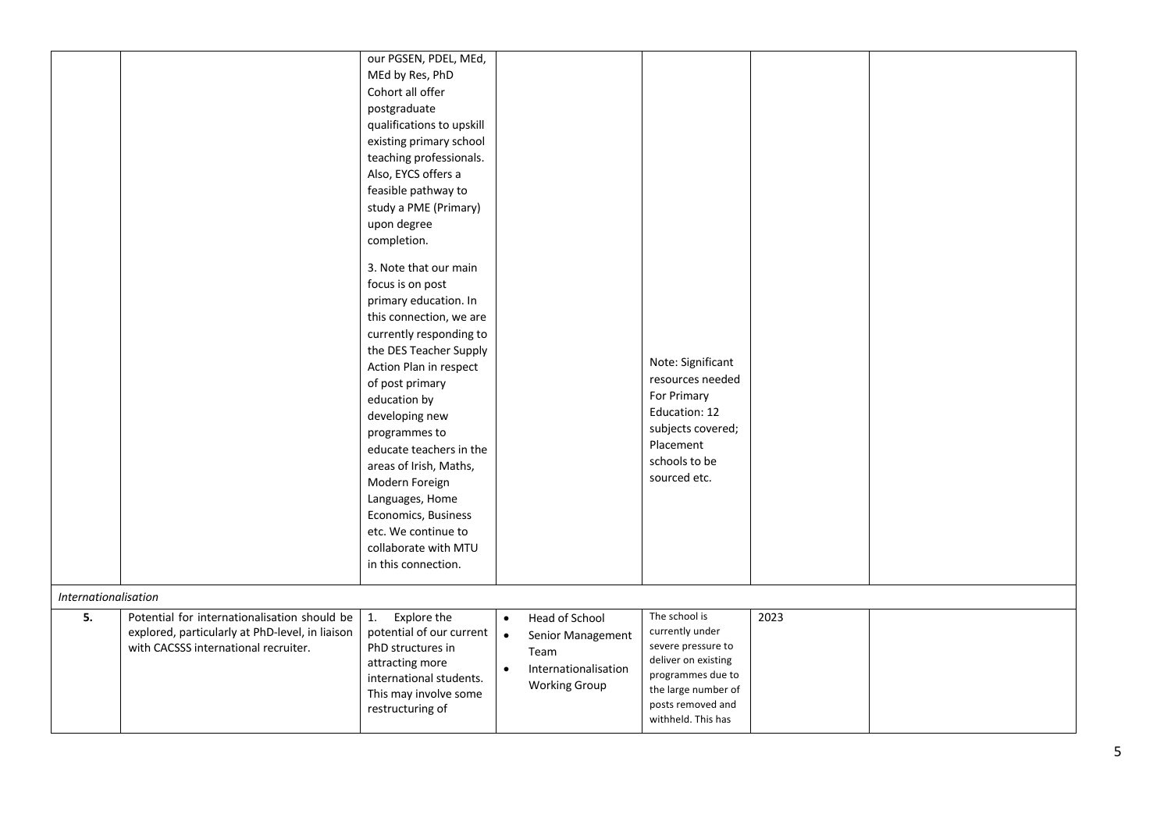|                      |                                                                                                                                         | our PGSEN, PDEL, MEd,<br>MEd by Res, PhD<br>Cohort all offer<br>postgraduate<br>qualifications to upskill<br>existing primary school<br>teaching professionals.<br>Also, EYCS offers a<br>feasible pathway to<br>study a PME (Primary)<br>upon degree<br>completion.<br>3. Note that our main<br>focus is on post<br>primary education. In<br>this connection, we are<br>currently responding to<br>the DES Teacher Supply<br>Action Plan in respect<br>of post primary<br>education by<br>developing new<br>programmes to<br>educate teachers in the<br>areas of Irish, Maths,<br>Modern Foreign<br>Languages, Home<br>Economics, Business<br>etc. We continue to<br>collaborate with MTU |                                                                                                                                    | Note: Significant<br>resources needed<br>For Primary<br>Education: 12<br>subjects covered;<br>Placement<br>schools to be<br>sourced etc.                             |      |  |
|----------------------|-----------------------------------------------------------------------------------------------------------------------------------------|--------------------------------------------------------------------------------------------------------------------------------------------------------------------------------------------------------------------------------------------------------------------------------------------------------------------------------------------------------------------------------------------------------------------------------------------------------------------------------------------------------------------------------------------------------------------------------------------------------------------------------------------------------------------------------------------|------------------------------------------------------------------------------------------------------------------------------------|----------------------------------------------------------------------------------------------------------------------------------------------------------------------|------|--|
|                      |                                                                                                                                         | in this connection.                                                                                                                                                                                                                                                                                                                                                                                                                                                                                                                                                                                                                                                                        |                                                                                                                                    |                                                                                                                                                                      |      |  |
| Internationalisation |                                                                                                                                         |                                                                                                                                                                                                                                                                                                                                                                                                                                                                                                                                                                                                                                                                                            |                                                                                                                                    |                                                                                                                                                                      |      |  |
| 5.                   | Potential for internationalisation should be<br>explored, particularly at PhD-level, in liaison<br>with CACSSS international recruiter. | Explore the<br>1.<br>potential of our current<br>PhD structures in<br>attracting more<br>international students.<br>This may involve some<br>restructuring of                                                                                                                                                                                                                                                                                                                                                                                                                                                                                                                              | Head of School<br>$\bullet$<br>$\bullet$<br>Senior Management<br>Team<br>Internationalisation<br>$\bullet$<br><b>Working Group</b> | The school is<br>currently under<br>severe pressure to<br>deliver on existing<br>programmes due to<br>the large number of<br>posts removed and<br>withheld. This has | 2023 |  |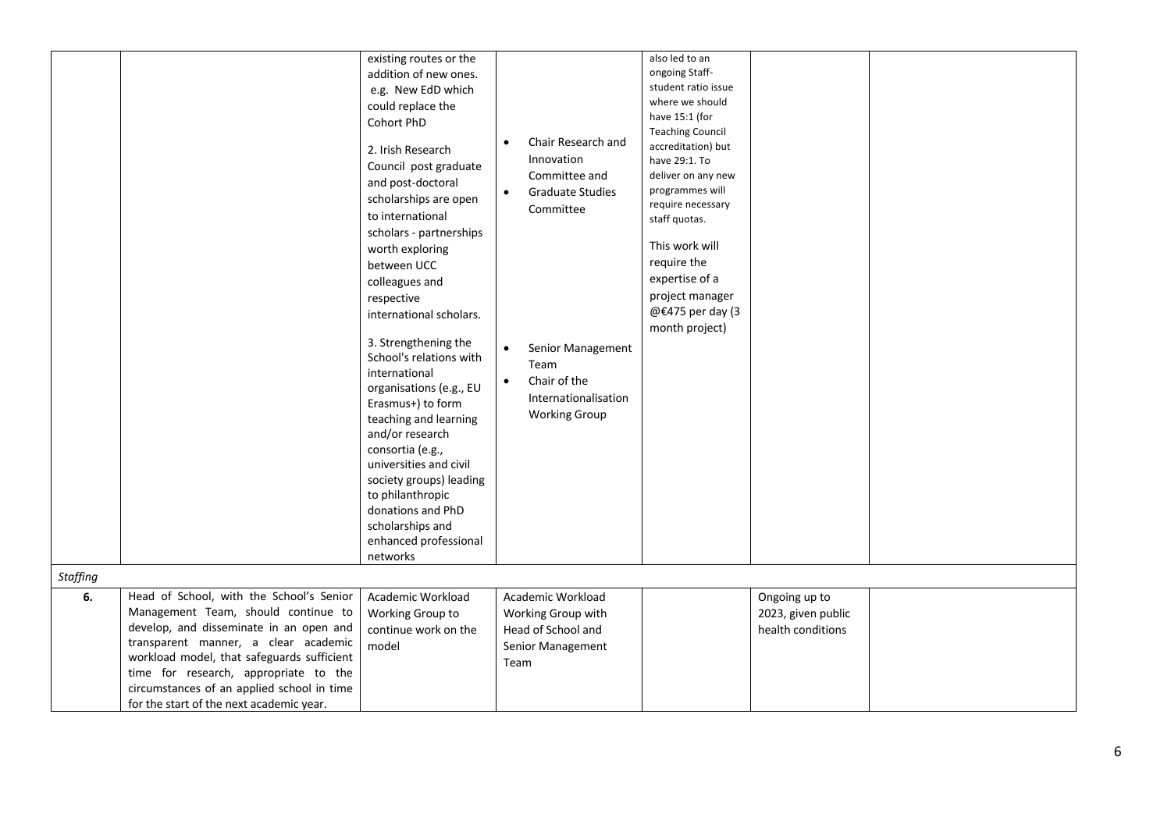| <b>Staffing</b> |                                            | existing routes or the<br>addition of new ones.<br>e.g. New EdD which<br>could replace the<br>Cohort PhD<br>2. Irish Research<br>Council post graduate<br>and post-doctoral<br>scholarships are open<br>to international<br>scholars - partnerships<br>worth exploring<br>between UCC<br>colleagues and<br>respective<br>international scholars.<br>3. Strengthening the<br>School's relations with<br>international<br>organisations (e.g., EU<br>Erasmus+) to form<br>teaching and learning<br>and/or research<br>consortia (e.g.,<br>universities and civil<br>society groups) leading<br>to philanthropic<br>donations and PhD<br>scholarships and<br>enhanced professional<br>networks | Chair Research and<br>Innovation<br>Committee and<br><b>Graduate Studies</b><br>$\bullet$<br>Committee<br>Senior Management<br>$\bullet$<br>Team<br>Chair of the<br>$\bullet$<br>Internationalisation<br><b>Working Group</b> | also led to an<br>ongoing Staff-<br>student ratio issue<br>where we should<br>have 15:1 (for<br><b>Teaching Council</b><br>accreditation) but<br>have 29:1. To<br>deliver on any new<br>programmes will<br>require necessary<br>staff quotas.<br>This work will<br>require the<br>expertise of a<br>project manager<br>@€475 per day (3<br>month project) |                    |  |
|-----------------|--------------------------------------------|---------------------------------------------------------------------------------------------------------------------------------------------------------------------------------------------------------------------------------------------------------------------------------------------------------------------------------------------------------------------------------------------------------------------------------------------------------------------------------------------------------------------------------------------------------------------------------------------------------------------------------------------------------------------------------------------|-------------------------------------------------------------------------------------------------------------------------------------------------------------------------------------------------------------------------------|-----------------------------------------------------------------------------------------------------------------------------------------------------------------------------------------------------------------------------------------------------------------------------------------------------------------------------------------------------------|--------------------|--|
| 6.              | Head of School, with the School's Senior   | Academic Workload                                                                                                                                                                                                                                                                                                                                                                                                                                                                                                                                                                                                                                                                           | Academic Workload                                                                                                                                                                                                             |                                                                                                                                                                                                                                                                                                                                                           | Ongoing up to      |  |
|                 | Management Team, should continue to        | Working Group to                                                                                                                                                                                                                                                                                                                                                                                                                                                                                                                                                                                                                                                                            | Working Group with                                                                                                                                                                                                            |                                                                                                                                                                                                                                                                                                                                                           | 2023, given public |  |
|                 | develop, and disseminate in an open and    | continue work on the                                                                                                                                                                                                                                                                                                                                                                                                                                                                                                                                                                                                                                                                        | Head of School and                                                                                                                                                                                                            |                                                                                                                                                                                                                                                                                                                                                           | health conditions  |  |
|                 | transparent manner, a clear academic       | model                                                                                                                                                                                                                                                                                                                                                                                                                                                                                                                                                                                                                                                                                       | Senior Management                                                                                                                                                                                                             |                                                                                                                                                                                                                                                                                                                                                           |                    |  |
|                 | workload model, that safeguards sufficient |                                                                                                                                                                                                                                                                                                                                                                                                                                                                                                                                                                                                                                                                                             | Team                                                                                                                                                                                                                          |                                                                                                                                                                                                                                                                                                                                                           |                    |  |
|                 | time for research, appropriate to the      |                                                                                                                                                                                                                                                                                                                                                                                                                                                                                                                                                                                                                                                                                             |                                                                                                                                                                                                                               |                                                                                                                                                                                                                                                                                                                                                           |                    |  |
|                 | circumstances of an applied school in time |                                                                                                                                                                                                                                                                                                                                                                                                                                                                                                                                                                                                                                                                                             |                                                                                                                                                                                                                               |                                                                                                                                                                                                                                                                                                                                                           |                    |  |
|                 | for the start of the next academic year.   |                                                                                                                                                                                                                                                                                                                                                                                                                                                                                                                                                                                                                                                                                             |                                                                                                                                                                                                                               |                                                                                                                                                                                                                                                                                                                                                           |                    |  |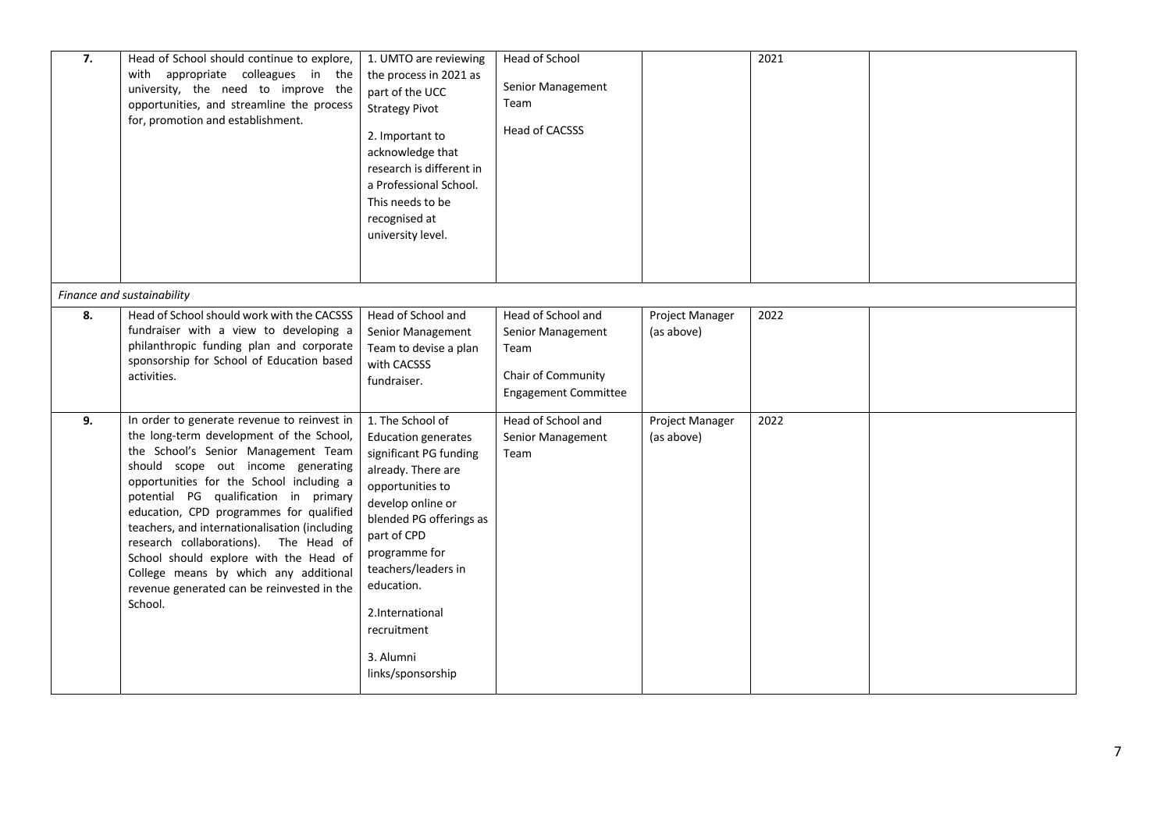| 7. | Head of School should continue to explore,<br>with appropriate colleagues in the<br>university, the need to improve the<br>opportunities, and streamline the process<br>for, promotion and establishment.                                                                                                                                                                                                                                                                                                                                  | 1. UMTO are reviewing<br>the process in 2021 as<br>part of the UCC<br><b>Strategy Pivot</b><br>2. Important to<br>acknowledge that<br>research is different in<br>a Professional School.<br>This needs to be<br>recognised at<br>university level.                                                          | Head of School<br>Senior Management<br>Team<br>Head of CACSSS                                        |                               | 2021 |  |
|----|--------------------------------------------------------------------------------------------------------------------------------------------------------------------------------------------------------------------------------------------------------------------------------------------------------------------------------------------------------------------------------------------------------------------------------------------------------------------------------------------------------------------------------------------|-------------------------------------------------------------------------------------------------------------------------------------------------------------------------------------------------------------------------------------------------------------------------------------------------------------|------------------------------------------------------------------------------------------------------|-------------------------------|------|--|
|    | Finance and sustainability                                                                                                                                                                                                                                                                                                                                                                                                                                                                                                                 |                                                                                                                                                                                                                                                                                                             |                                                                                                      |                               |      |  |
| 8. | Head of School should work with the CACSSS<br>fundraiser with a view to developing a<br>philanthropic funding plan and corporate<br>sponsorship for School of Education based<br>activities.                                                                                                                                                                                                                                                                                                                                               | Head of School and<br>Senior Management<br>Team to devise a plan<br>with CACSSS<br>fundraiser.                                                                                                                                                                                                              | Head of School and<br>Senior Management<br>Team<br>Chair of Community<br><b>Engagement Committee</b> | Project Manager<br>(as above) | 2022 |  |
| 9. | In order to generate revenue to reinvest in<br>the long-term development of the School,<br>the School's Senior Management Team<br>should scope out income generating<br>opportunities for the School including a<br>potential PG qualification in primary<br>education, CPD programmes for qualified<br>teachers, and internationalisation (including<br>research collaborations). The Head of<br>School should explore with the Head of<br>College means by which any additional<br>revenue generated can be reinvested in the<br>School. | 1. The School of<br><b>Education generates</b><br>significant PG funding<br>already. There are<br>opportunities to<br>develop online or<br>blended PG offerings as<br>part of CPD<br>programme for<br>teachers/leaders in<br>education.<br>2.International<br>recruitment<br>3. Alumni<br>links/sponsorship | Head of School and<br>Senior Management<br>Team                                                      | Project Manager<br>(as above) | 2022 |  |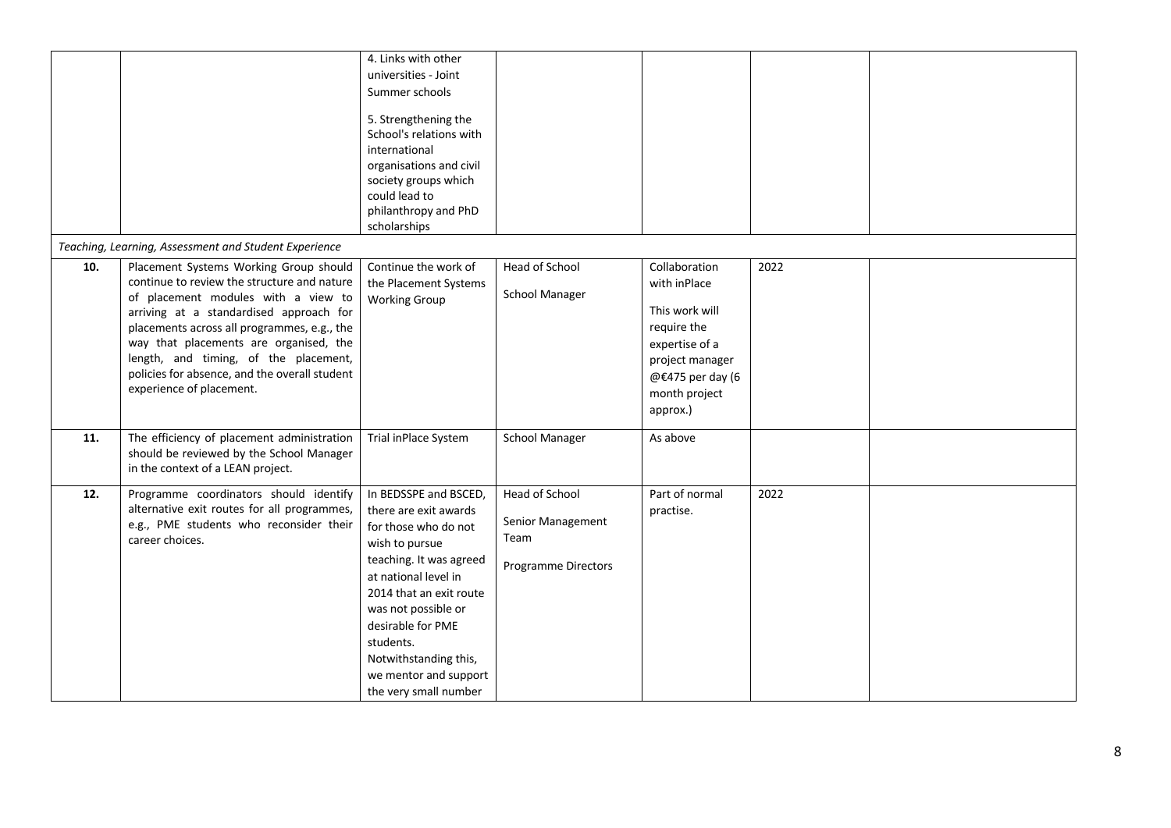|     |                                                                                                                                                                                                                                                                                                                                                                                        | 4. Links with other<br>universities - Joint<br>Summer schools<br>5. Strengthening the<br>School's relations with<br>international<br>organisations and civil<br>society groups which<br>could lead to<br>philanthropy and PhD<br>scholarships                                                              |                                                                    |                                                                                                                                                      |      |  |
|-----|----------------------------------------------------------------------------------------------------------------------------------------------------------------------------------------------------------------------------------------------------------------------------------------------------------------------------------------------------------------------------------------|------------------------------------------------------------------------------------------------------------------------------------------------------------------------------------------------------------------------------------------------------------------------------------------------------------|--------------------------------------------------------------------|------------------------------------------------------------------------------------------------------------------------------------------------------|------|--|
|     | Teaching, Learning, Assessment and Student Experience                                                                                                                                                                                                                                                                                                                                  |                                                                                                                                                                                                                                                                                                            |                                                                    |                                                                                                                                                      |      |  |
| 10. | Placement Systems Working Group should<br>continue to review the structure and nature<br>of placement modules with a view to<br>arriving at a standardised approach for<br>placements across all programmes, e.g., the<br>way that placements are organised, the<br>length, and timing, of the placement,<br>policies for absence, and the overall student<br>experience of placement. | Continue the work of<br>the Placement Systems<br><b>Working Group</b>                                                                                                                                                                                                                                      | Head of School<br><b>School Manager</b>                            | Collaboration<br>with inPlace<br>This work will<br>require the<br>expertise of a<br>project manager<br>@€475 per day (6<br>month project<br>approx.) | 2022 |  |
| 11. | The efficiency of placement administration<br>should be reviewed by the School Manager<br>in the context of a LEAN project.                                                                                                                                                                                                                                                            | Trial inPlace System                                                                                                                                                                                                                                                                                       | <b>School Manager</b>                                              | As above                                                                                                                                             |      |  |
| 12. | Programme coordinators should identify<br>alternative exit routes for all programmes,<br>e.g., PME students who reconsider their<br>career choices.                                                                                                                                                                                                                                    | In BEDSSPE and BSCED,<br>there are exit awards<br>for those who do not<br>wish to pursue<br>teaching. It was agreed<br>at national level in<br>2014 that an exit route<br>was not possible or<br>desirable for PME<br>students.<br>Notwithstanding this,<br>we mentor and support<br>the very small number | Head of School<br>Senior Management<br>Team<br>Programme Directors | Part of normal<br>practise.                                                                                                                          | 2022 |  |